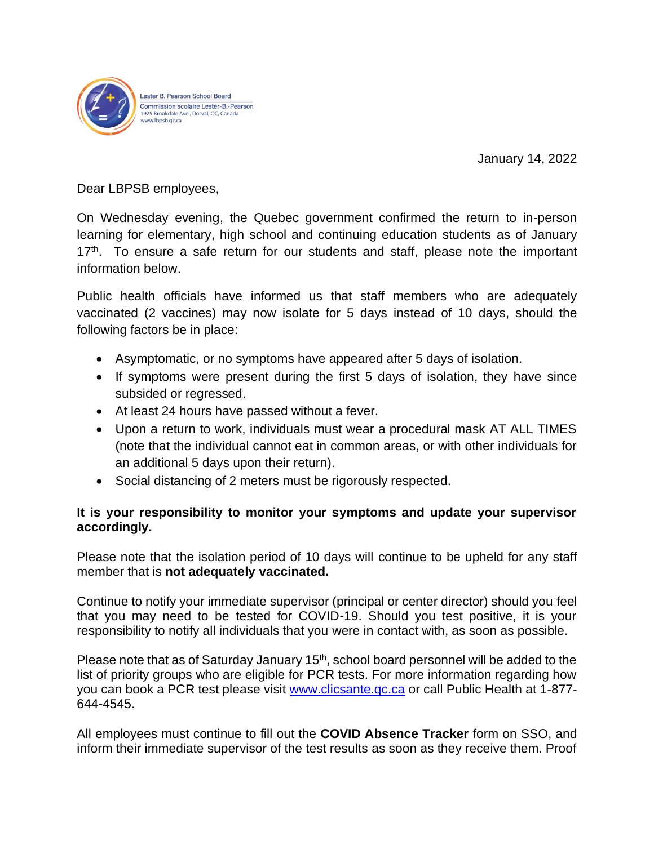

Lester B. Pearson School Board Commission scolaire Lester-B.-Pearson 1925 Brookdale Ave., Dorval, QC, Canada ww.lbpsb.gc.ca

January 14, 2022

Dear LBPSB employees,

On Wednesday evening, the Quebec government confirmed the return to in-person learning for elementary, high school and continuing education students as of January 17<sup>th</sup>. To ensure a safe return for our students and staff, please note the important information below.

Public health officials have informed us that staff members who are adequately vaccinated (2 vaccines) may now isolate for 5 days instead of 10 days, should the following factors be in place:

- Asymptomatic, or no symptoms have appeared after 5 days of isolation.
- If symptoms were present during the first 5 days of isolation, they have since subsided or regressed.
- At least 24 hours have passed without a fever.
- Upon a return to work, individuals must wear a procedural mask AT ALL TIMES (note that the individual cannot eat in common areas, or with other individuals for an additional 5 days upon their return).
- Social distancing of 2 meters must be rigorously respected.

## **It is your responsibility to monitor your symptoms and update your supervisor accordingly.**

Please note that the isolation period of 10 days will continue to be upheld for any staff member that is **not adequately vaccinated.**

Continue to notify your immediate supervisor (principal or center director) should you feel that you may need to be tested for COVID-19. Should you test positive, it is your responsibility to notify all individuals that you were in contact with, as soon as possible.

Please note that as of Saturday January 15<sup>th</sup>, school board personnel will be added to the list of priority groups who are eligible for PCR tests. For more information regarding how you can book a PCR test please visit [www.clicsante.qc.ca](http://www.clicsante.qc.ca/) or call Public Health at 1-877- 644-4545.

All employees must continue to fill out the **COVID Absence Tracker** form on SSO, and inform their immediate supervisor of the test results as soon as they receive them. Proof